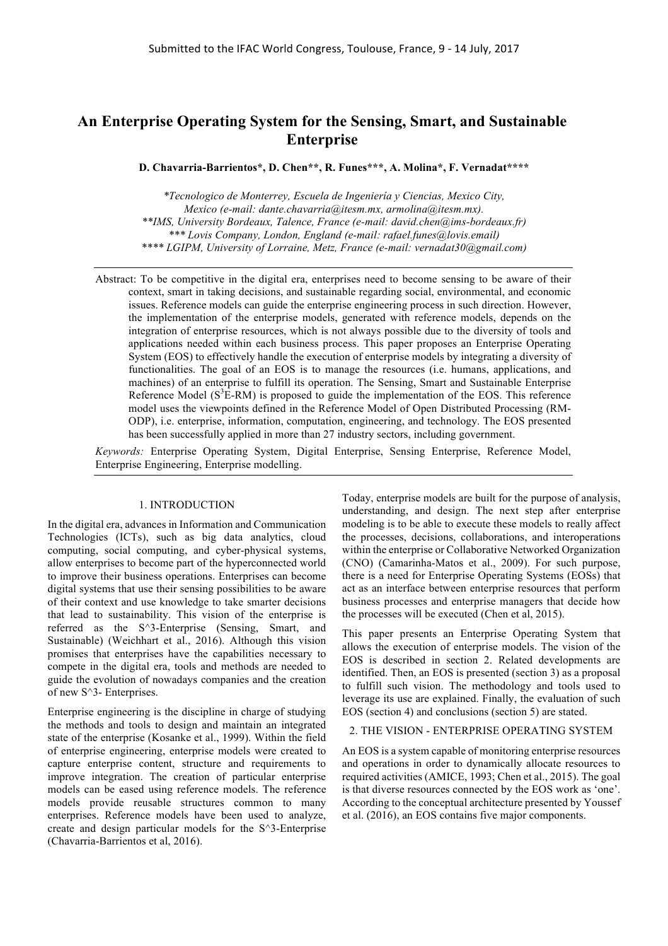# **An Enterprise Operating System for the Sensing, Smart, and Sustainable Enterprise**

**D. Chavarria-Barrientos\*, D. Chen\*\*, R. Funes\*\*\*, A. Molina\*, F. Vernadat\*\*\*\***

*\*Tecnologico de Monterrey, Escuela de Ingeniería y Ciencias, Mexico City, Mexico (e-mail: dante.chavarria@itesm.mx, armolina@itesm.mx). \*\*IMS, University Bordeaux, Talence, France (e-mail: david.chen@ims-bordeaux.fr) \*\*\* Lovis Company, London, England (e-mail: rafael.funes@lovis.email) \*\*\*\* LGIPM, University of Lorraine, Metz, France (e-mail: vernadat30@gmail.com)*

Abstract: To be competitive in the digital era, enterprises need to become sensing to be aware of their context, smart in taking decisions, and sustainable regarding social, environmental, and economic issues. Reference models can guide the enterprise engineering process in such direction. However, the implementation of the enterprise models, generated with reference models, depends on the integration of enterprise resources, which is not always possible due to the diversity of tools and applications needed within each business process. This paper proposes an Enterprise Operating System (EOS) to effectively handle the execution of enterprise models by integrating a diversity of functionalities. The goal of an EOS is to manage the resources (i.e. humans, applications, and machines) of an enterprise to fulfill its operation. The Sensing, Smart and Sustainable Enterprise Reference Model  $(S^3E-RM)$  is proposed to guide the implementation of the EOS. This reference model uses the viewpoints defined in the Reference Model of Open Distributed Processing (RM-ODP), i.e. enterprise, information, computation, engineering, and technology. The EOS presented has been successfully applied in more than 27 industry sectors, including government.

*Keywords:* Enterprise Operating System, Digital Enterprise, Sensing Enterprise, Reference Model, Enterprise Engineering, Enterprise modelling.

## 1. INTRODUCTION

In the digital era, advances in Information and Communication Technologies (ICTs), such as big data analytics, cloud computing, social computing, and cyber-physical systems, allow enterprises to become part of the hyperconnected world to improve their business operations. Enterprises can become digital systems that use their sensing possibilities to be aware of their context and use knowledge to take smarter decisions that lead to sustainability. This vision of the enterprise is referred as the S^3-Enterprise (Sensing, Smart, and Sustainable) (Weichhart et al., 2016). Although this vision promises that enterprises have the capabilities necessary to compete in the digital era, tools and methods are needed to guide the evolution of nowadays companies and the creation of new S^3- Enterprises.

Enterprise engineering is the discipline in charge of studying the methods and tools to design and maintain an integrated state of the enterprise (Kosanke et al., 1999). Within the field of enterprise engineering, enterprise models were created to capture enterprise content, structure and requirements to improve integration. The creation of particular enterprise models can be eased using reference models. The reference models provide reusable structures common to many enterprises. Reference models have been used to analyze, create and design particular models for the S^3-Enterprise (Chavarria-Barrientos et al, 2016).

Today, enterprise models are built for the purpose of analysis, understanding, and design. The next step after enterprise modeling is to be able to execute these models to really affect the processes, decisions, collaborations, and interoperations within the enterprise or Collaborative Networked Organization (CNO) (Camarinha-Matos et al., 2009). For such purpose, there is a need for Enterprise Operating Systems (EOSs) that act as an interface between enterprise resources that perform business processes and enterprise managers that decide how the processes will be executed (Chen et al, 2015).

This paper presents an Enterprise Operating System that allows the execution of enterprise models. The vision of the EOS is described in section 2. Related developments are identified. Then, an EOS is presented (section 3) as a proposal to fulfill such vision. The methodology and tools used to leverage its use are explained. Finally, the evaluation of such EOS (section 4) and conclusions (section 5) are stated.

#### 2. THE VISION - ENTERPRISE OPERATING SYSTEM

An EOS is a system capable of monitoring enterprise resources and operations in order to dynamically allocate resources to required activities (AMICE, 1993; Chen et al., 2015). The goal is that diverse resources connected by the EOS work as 'one'. According to the conceptual architecture presented by Youssef et al. (2016), an EOS contains five major components.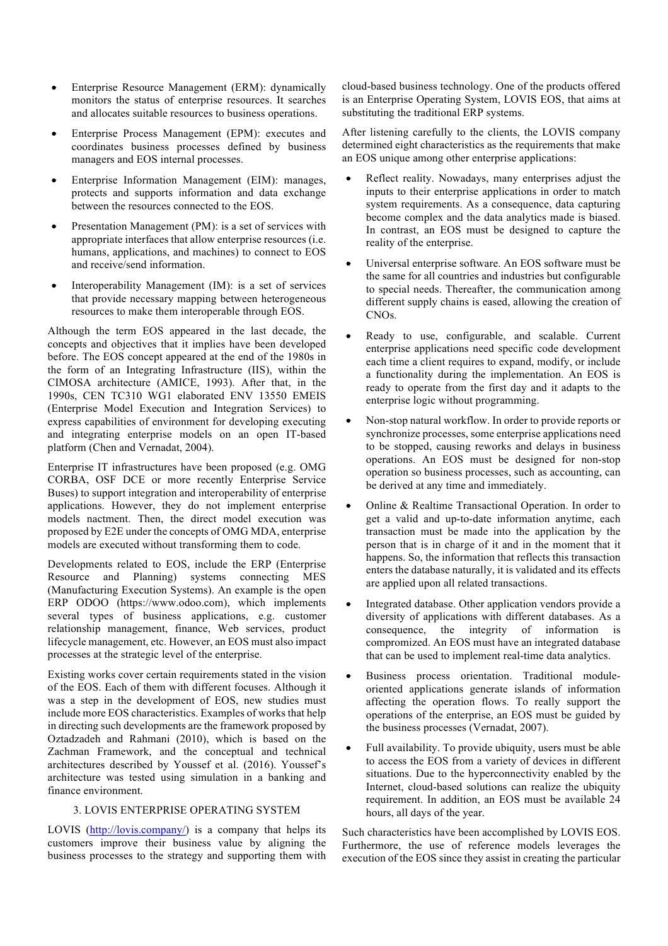- Enterprise Resource Management (ERM): dynamically monitors the status of enterprise resources. It searches and allocates suitable resources to business operations.
- Enterprise Process Management (EPM): executes and coordinates business processes defined by business managers and EOS internal processes.
- Enterprise Information Management (EIM): manages, protects and supports information and data exchange between the resources connected to the EOS.
- Presentation Management (PM): is a set of services with appropriate interfaces that allow enterprise resources (i.e. humans, applications, and machines) to connect to EOS and receive/send information.
- Interoperability Management (IM): is a set of services that provide necessary mapping between heterogeneous resources to make them interoperable through EOS.

Although the term EOS appeared in the last decade, the concepts and objectives that it implies have been developed before. The EOS concept appeared at the end of the 1980s in the form of an Integrating Infrastructure (IIS), within the CIMOSA architecture (AMICE, 1993). After that, in the 1990s, CEN TC310 WG1 elaborated ENV 13550 EMEIS (Enterprise Model Execution and Integration Services) to express capabilities of environment for developing executing and integrating enterprise models on an open IT-based platform (Chen and Vernadat, 2004).

Enterprise IT infrastructures have been proposed (e.g. OMG CORBA, OSF DCE or more recently Enterprise Service Buses) to support integration and interoperability of enterprise applications. However, they do not implement enterprise models nactment. Then, the direct model execution was proposed by E2E under the concepts of OMG MDA, enterprise models are executed without transforming them to code.

Developments related to EOS, include the ERP (Enterprise Resource and Planning) systems connecting MES (Manufacturing Execution Systems). An example is the open ERP ODOO (https://www.odoo.com), which implements several types of business applications, e.g. customer relationship management, finance, Web services, product lifecycle management, etc. However, an EOS must also impact processes at the strategic level of the enterprise.

Existing works cover certain requirements stated in the vision of the EOS. Each of them with different focuses. Although it was a step in the development of EOS, new studies must include more EOS characteristics. Examples of works that help in directing such developments are the framework proposed by Oztadzadeh and Rahmani (2010), which is based on the Zachman Framework, and the conceptual and technical architectures described by Youssef et al. (2016). Youssef's architecture was tested using simulation in a banking and finance environment.

# 3. LOVIS ENTERPRISE OPERATING SYSTEM

LOVIS (http://lovis.company/) is a company that helps its customers improve their business value by aligning the business processes to the strategy and supporting them with cloud-based business technology. One of the products offered is an Enterprise Operating System, LOVIS EOS, that aims at substituting the traditional ERP systems.

After listening carefully to the clients, the LOVIS company determined eight characteristics as the requirements that make an EOS unique among other enterprise applications:

- Reflect reality. Nowadays, many enterprises adjust the inputs to their enterprise applications in order to match system requirements. As a consequence, data capturing become complex and the data analytics made is biased. In contrast, an EOS must be designed to capture the reality of the enterprise.
- Universal enterprise software. An EOS software must be the same for all countries and industries but configurable to special needs. Thereafter, the communication among different supply chains is eased, allowing the creation of CNOs.
- Ready to use, configurable, and scalable. Current enterprise applications need specific code development each time a client requires to expand, modify, or include a functionality during the implementation. An EOS is ready to operate from the first day and it adapts to the enterprise logic without programming.
- Non-stop natural workflow. In order to provide reports or synchronize processes, some enterprise applications need to be stopped, causing reworks and delays in business operations. An EOS must be designed for non-stop operation so business processes, such as accounting, can be derived at any time and immediately.
- Online & Realtime Transactional Operation. In order to get a valid and up-to-date information anytime, each transaction must be made into the application by the person that is in charge of it and in the moment that it happens. So, the information that reflects this transaction enters the database naturally, it is validated and its effects are applied upon all related transactions.
- Integrated database. Other application vendors provide a diversity of applications with different databases. As a consequence, the integrity of information is compromized. An EOS must have an integrated database that can be used to implement real-time data analytics.
- Business process orientation. Traditional moduleoriented applications generate islands of information affecting the operation flows. To really support the operations of the enterprise, an EOS must be guided by the business processes (Vernadat, 2007).
- Full availability. To provide ubiquity, users must be able to access the EOS from a variety of devices in different situations. Due to the hyperconnectivity enabled by the Internet, cloud-based solutions can realize the ubiquity requirement. In addition, an EOS must be available 24 hours, all days of the year.

Such characteristics have been accomplished by LOVIS EOS. Furthermore, the use of reference models leverages the execution of the EOS since they assist in creating the particular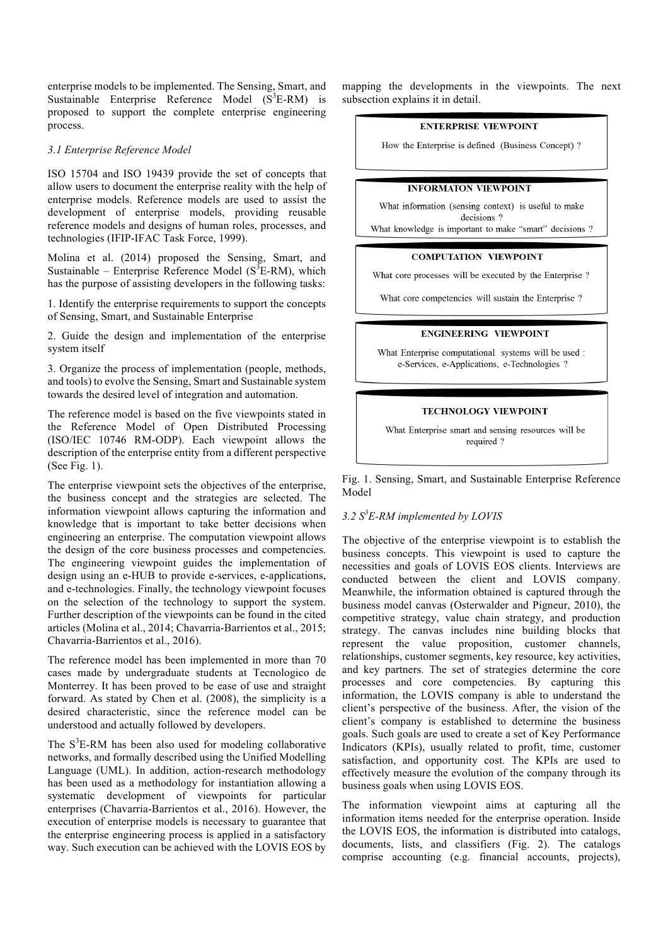enterprise models to be implemented. The Sensing, Smart, and Sustainable Enterprise Reference Model  $(S^3E-RM)$  is proposed to support the complete enterprise engineering process.

## *3.1 Enterprise Reference Model*

ISO 15704 and ISO 19439 provide the set of concepts that allow users to document the enterprise reality with the help of enterprise models. Reference models are used to assist the development of enterprise models, providing reusable reference models and designs of human roles, processes, and technologies (IFIP-IFAC Task Force, 1999).

Molina et al. (2014) proposed the Sensing, Smart, and Sustainable – Enterprise Reference Model ( $S^3E-RM$ ), which has the purpose of assisting developers in the following tasks:

1. Identify the enterprise requirements to support the concepts of Sensing, Smart, and Sustainable Enterprise

2. Guide the design and implementation of the enterprise system itself

3. Organize the process of implementation (people, methods, and tools) to evolve the Sensing, Smart and Sustainable system towards the desired level of integration and automation.

The reference model is based on the five viewpoints stated in the Reference Model of Open Distributed Processing (ISO/IEC 10746 RM-ODP). Each viewpoint allows the description of the enterprise entity from a different perspective (See Fig. 1).

The enterprise viewpoint sets the objectives of the enterprise, the business concept and the strategies are selected. The information viewpoint allows capturing the information and knowledge that is important to take better decisions when engineering an enterprise. The computation viewpoint allows the design of the core business processes and competencies. The engineering viewpoint guides the implementation of design using an e-HUB to provide e-services, e-applications, and e-technologies. Finally, the technology viewpoint focuses on the selection of the technology to support the system. Further description of the viewpoints can be found in the cited articles (Molina et al., 2014; Chavarria-Barrientos et al., 2015; Chavarria-Barrientos et al., 2016).

The reference model has been implemented in more than 70 cases made by undergraduate students at Tecnologico de Monterrey. It has been proved to be ease of use and straight forward. As stated by Chen et al. (2008), the simplicity is a desired characteristic, since the reference model can be understood and actually followed by developers.

The  $S<sup>3</sup>E-RM$  has been also used for modeling collaborative networks, and formally described using the Unified Modelling Language (UML). In addition, action-research methodology has been used as a methodology for instantiation allowing a systematic development of viewpoints for particular enterprises (Chavarria-Barrientos et al., 2016). However, the execution of enterprise models is necessary to guarantee that the enterprise engineering process is applied in a satisfactory way. Such execution can be achieved with the LOVIS EOS by

mapping the developments in the viewpoints. The next subsection explains it in detail.

#### **ENTERPRISE VIEWPOINT**

How the Enterprise is defined (Business Concept)?

## **INFORMATON VIEWPOINT**

What information (sensing context) is useful to make decisions?

What knowledge is important to make "smart" decisions ?

### **COMPUTATION VIEWPOINT**

What core processes will be executed by the Enterprise?

What core competencies will sustain the Enterprise?

## **ENGINEERING VIEWPOINT**

What Enterprise computational systems will be used : e-Services, e-Applications, e-Technologies ?

# **TECHNOLOGY VIEWPOINT**

What Enterprise smart and sensing resources will be required?

Fig. 1. Sensing, Smart, and Sustainable Enterprise Reference Model

# *3.2 S<sup>3</sup> E-RM implemented by LOVIS*

The objective of the enterprise viewpoint is to establish the business concepts. This viewpoint is used to capture the necessities and goals of LOVIS EOS clients. Interviews are conducted between the client and LOVIS company. Meanwhile, the information obtained is captured through the business model canvas (Osterwalder and Pigneur, 2010), the competitive strategy, value chain strategy, and production strategy. The canvas includes nine building blocks that represent the value proposition, customer channels, relationships, customer segments, key resource, key activities, and key partners. The set of strategies determine the core processes and core competencies. By capturing this information, the LOVIS company is able to understand the client's perspective of the business. After, the vision of the client's company is established to determine the business goals. Such goals are used to create a set of Key Performance Indicators (KPIs), usually related to profit, time, customer satisfaction, and opportunity cost. The KPIs are used to effectively measure the evolution of the company through its business goals when using LOVIS EOS.

The information viewpoint aims at capturing all the information items needed for the enterprise operation. Inside the LOVIS EOS, the information is distributed into catalogs, documents, lists, and classifiers (Fig. 2). The catalogs comprise accounting (e.g. financial accounts, projects),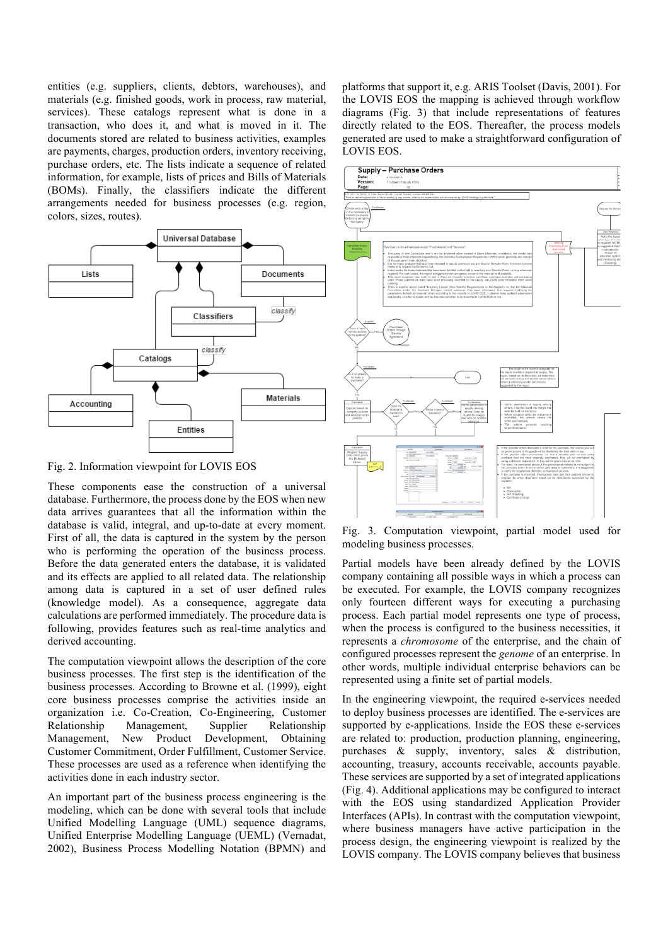entities (e.g. suppliers, clients, debtors, warehouses), and materials (e.g. finished goods, work in process, raw material, services). These catalogs represent what is done in a transaction, who does it, and what is moved in it. The documents stored are related to business activities, examples are payments, charges, production orders, inventory receiving, purchase orders, etc. The lists indicate a sequence of related information, for example, lists of prices and Bills of Materials (BOMs). Finally, the classifiers indicate the different arrangements needed for business processes (e.g. region, colors, sizes, routes).



Fig. 2. Information viewpoint for LOVIS EOS

These components ease the construction of a universal database. Furthermore, the process done by the EOS when new data arrives guarantees that all the information within the database is valid, integral, and up-to-date at every moment. First of all, the data is captured in the system by the person who is performing the operation of the business process. Before the data generated enters the database, it is validated and its effects are applied to all related data. The relationship among data is captured in a set of user defined rules (knowledge model). As a consequence, aggregate data calculations are performed immediately. The procedure data is following, provides features such as real-time analytics and derived accounting.

The computation viewpoint allows the description of the core business processes. The first step is the identification of the business processes. According to Browne et al. (1999), eight core business processes comprise the activities inside an organization i.e. Co-Creation, Co-Engineering, Customer Relationship Management, Supplier Relationship Management, New Product Development, Obtaining Customer Commitment, Order Fulfillment, Customer Service. These processes are used as a reference when identifying the activities done in each industry sector.

An important part of the business process engineering is the modeling, which can be done with several tools that include Unified Modelling Language (UML) sequence diagrams, Unified Enterprise Modelling Language (UEML) (Vernadat, 2002), Business Process Modelling Notation (BPMN) and

platforms that support it, e.g. ARIS Toolset (Davis, 2001). For the LOVIS EOS the mapping is achieved through workflow diagrams (Fig. 3) that include representations of features directly related to the EOS. Thereafter, the process models generated are used to make a straightforward configuration of LOVIS EOS.



Fig. 3. Computation viewpoint, partial model used for modeling business processes.

Partial models have been already defined by the LOVIS company containing all possible ways in which a process can be executed. For example, the LOVIS company recognizes only fourteen different ways for executing a purchasing process. Each partial model represents one type of process, when the process is configured to the business necessities, it represents a *chromosome* of the enterprise, and the chain of configured processes represent the *genome* of an enterprise. In other words, multiple individual enterprise behaviors can be represented using a finite set of partial models.

In the engineering viewpoint, the required e-services needed to deploy business processes are identified. The e-services are supported by e-applications. Inside the EOS these e-services are related to: production, production planning, engineering, purchases & supply, inventory, sales & distribution, accounting, treasury, accounts receivable, accounts payable. These services are supported by a set of integrated applications (Fig. 4). Additional applications may be configured to interact with the EOS using standardized Application Provider Interfaces (APIs). In contrast with the computation viewpoint, where business managers have active participation in the process design, the engineering viewpoint is realized by the LOVIS company. The LOVIS company believes that business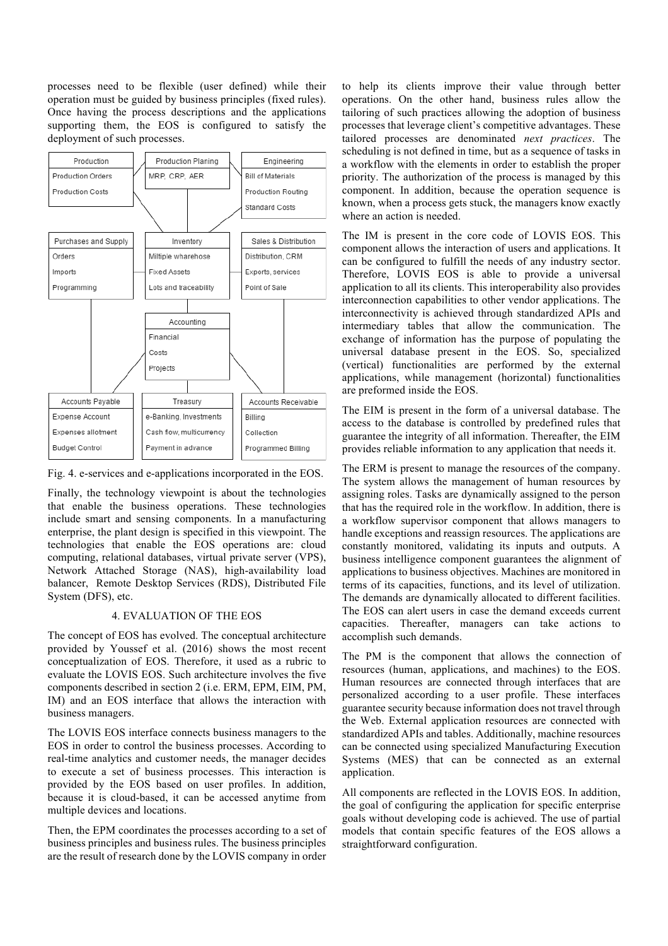processes need to be flexible (user defined) while their operation must be guided by business principles (fixed rules). Once having the process descriptions and the applications supporting them, the EOS is configured to satisfy the deployment of such processes.



Fig. 4. e-services and e-applications incorporated in the EOS.

Finally, the technology viewpoint is about the technologies that enable the business operations. These technologies include smart and sensing components. In a manufacturing enterprise, the plant design is specified in this viewpoint. The technologies that enable the EOS operations are: cloud computing, relational databases, virtual private server (VPS), Network Attached Storage (NAS), high-availability load balancer, Remote Desktop Services (RDS), Distributed File System (DFS), etc.

#### 4. EVALUATION OF THE EOS

The concept of EOS has evolved. The conceptual architecture provided by Youssef et al. (2016) shows the most recent conceptualization of EOS. Therefore, it used as a rubric to evaluate the LOVIS EOS. Such architecture involves the five components described in section 2 (i.e. ERM, EPM, EIM, PM, IM) and an EOS interface that allows the interaction with business managers.

The LOVIS EOS interface connects business managers to the EOS in order to control the business processes. According to real-time analytics and customer needs, the manager decides to execute a set of business processes. This interaction is provided by the EOS based on user profiles. In addition, because it is cloud-based, it can be accessed anytime from multiple devices and locations.

Then, the EPM coordinates the processes according to a set of business principles and business rules. The business principles are the result of research done by the LOVIS company in order

to help its clients improve their value through better operations. On the other hand, business rules allow the tailoring of such practices allowing the adoption of business processes that leverage client's competitive advantages. These tailored processes are denominated *next practices*. The scheduling is not defined in time, but as a sequence of tasks in a workflow with the elements in order to establish the proper priority. The authorization of the process is managed by this component. In addition, because the operation sequence is known, when a process gets stuck, the managers know exactly where an action is needed.

The IM is present in the core code of LOVIS EOS. This component allows the interaction of users and applications. It can be configured to fulfill the needs of any industry sector. Therefore, LOVIS EOS is able to provide a universal application to all its clients. This interoperability also provides interconnection capabilities to other vendor applications. The interconnectivity is achieved through standardized APIs and intermediary tables that allow the communication. The exchange of information has the purpose of populating the universal database present in the EOS. So, specialized (vertical) functionalities are performed by the external applications, while management (horizontal) functionalities are preformed inside the EOS.

The EIM is present in the form of a universal database. The access to the database is controlled by predefined rules that guarantee the integrity of all information. Thereafter, the EIM provides reliable information to any application that needs it.

The ERM is present to manage the resources of the company. The system allows the management of human resources by assigning roles. Tasks are dynamically assigned to the person that has the required role in the workflow. In addition, there is a workflow supervisor component that allows managers to handle exceptions and reassign resources. The applications are constantly monitored, validating its inputs and outputs. A business intelligence component guarantees the alignment of applications to business objectives. Machines are monitored in terms of its capacities, functions, and its level of utilization. The demands are dynamically allocated to different facilities. The EOS can alert users in case the demand exceeds current capacities. Thereafter, managers can take actions to accomplish such demands.

The PM is the component that allows the connection of resources (human, applications, and machines) to the EOS. Human resources are connected through interfaces that are personalized according to a user profile. These interfaces guarantee security because information does not travel through the Web. External application resources are connected with standardized APIs and tables. Additionally, machine resources can be connected using specialized Manufacturing Execution Systems (MES) that can be connected as an external application.

All components are reflected in the LOVIS EOS. In addition, the goal of configuring the application for specific enterprise goals without developing code is achieved. The use of partial models that contain specific features of the EOS allows a straightforward configuration.